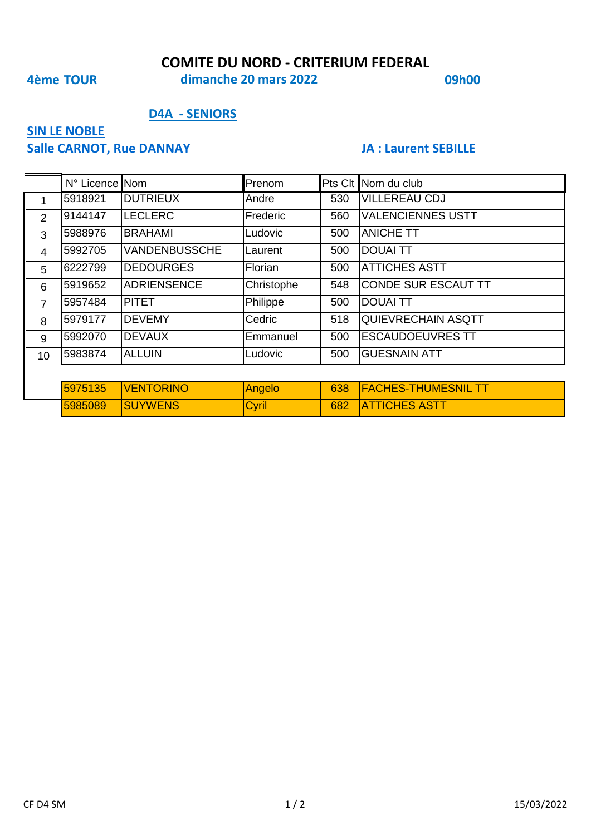#### **COMITE DU NORD - CRITERIUM FEDERAL**

## **4ème TOUR 09h00 dimanche 20 mars 2022**

#### **D4A - SENIORS**

# **SIN LE NOBLE**

#### **Salle CARNOT, Rue DANNAY JA : Laurent SEBILLE**

|                | N° Licence Nom |                      | Prenom     |     | Pts Clt Nom du club        |
|----------------|----------------|----------------------|------------|-----|----------------------------|
| 1              | 5918921        | <b>DUTRIEUX</b>      | Andre      | 530 | <b>VILLEREAU CDJ</b>       |
| 2              | 9144147        | <b>LECLERC</b>       | Frederic   | 560 | <b>VALENCIENNES USTT</b>   |
| 3              | 5988976        | <b>BRAHAMI</b>       | Ludovic    | 500 | <b>ANICHE TT</b>           |
| $\overline{4}$ | 5992705        | <b>VANDENBUSSCHE</b> | Laurent    | 500 | <b>DOUAI TT</b>            |
| 5              | 6222799        | <b>DEDOURGES</b>     | Florian    | 500 | <b>ATTICHES ASTT</b>       |
| 6              | 5919652        | <b>ADRIENSENCE</b>   | Christophe | 548 | <b>CONDE SUR ESCAUT TT</b> |
| $\overline{7}$ | 5957484        | <b>PITET</b>         | Philippe   | 500 | <b>DOUAI TT</b>            |
| 8              | 5979177        | <b>DEVEMY</b>        | Cedric     | 518 | QUIEVRECHAIN ASQTT         |
| 9              | 5992070        | <b>DEVAUX</b>        | Emmanuel   | 500 | <b>ESCAUDOEUVRES TT</b>    |
| 10             | 5983874        | <b>ALLUIN</b>        | Ludovic    | 500 | <b>GUESNAIN ATT</b>        |
|                |                |                      |            |     |                            |
|                | 5975135        | <b>VENTORINO</b>     | Angelo     | 638 | <b>FACHES-THUMESNIL TT</b> |
|                | 5985089        | <b>SUYWENS</b>       | Cyril      | 682 | <b>ATTICHES ASTT</b>       |